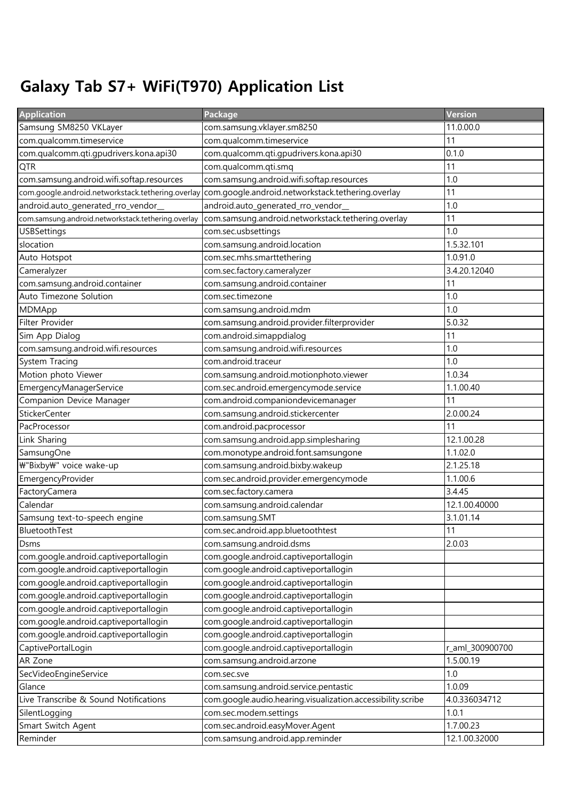## Galaxy Tab S7+ WiFi(T970) Application List

| <b>Application</b>                                 | Package                                                     | Version         |
|----------------------------------------------------|-------------------------------------------------------------|-----------------|
| Samsung SM8250 VKLayer                             | com.samsung.vklayer.sm8250                                  | 11.0.00.0       |
| com.qualcomm.timeservice                           | com.qualcomm.timeservice                                    | 11              |
| com.qualcomm.qti.gpudrivers.kona.api30             | com.qualcomm.qti.gpudrivers.kona.api30                      | 0.1.0           |
| <b>QTR</b>                                         | com.qualcomm.qti.smq                                        | 11              |
| com.samsung.android.wifi.softap.resources          | com.samsung.android.wifi.softap.resources                   | 1.0             |
| com.google.android.networkstack.tethering.overlay  | com.google.android.networkstack.tethering.overlay           | 11              |
| android.auto_generated_rro_vendor_                 | android.auto_generated_rro_vendor_                          | 1.0             |
| com.samsung.android.networkstack.tethering.overlay | com.samsung.android.networkstack.tethering.overlay          | 11              |
| <b>USBSettings</b>                                 | com.sec.usbsettings                                         | 1.0             |
| slocation                                          | com.samsung.android.location                                | 1.5.32.101      |
| Auto Hotspot                                       | com.sec.mhs.smarttethering                                  | 1.0.91.0        |
| Cameralyzer                                        | com.sec.factory.cameralyzer                                 | 3.4.20.12040    |
| com.samsung.android.container                      | com.samsung.android.container                               | 11              |
| Auto Timezone Solution                             | com.sec.timezone                                            | 1.0             |
| MDMApp                                             | com.samsung.android.mdm                                     | 1.0             |
| Filter Provider                                    | com.samsung.android.provider.filterprovider                 | 5.0.32          |
| Sim App Dialog                                     | com.android.simappdialog                                    | 11              |
| com.samsung.android.wifi.resources                 | com.samsung.android.wifi.resources                          | 1.0             |
| System Tracing                                     | com.android.traceur                                         | 1.0             |
| Motion photo Viewer                                | com.samsung.android.motionphoto.viewer                      | 1.0.34          |
| EmergencyManagerService                            | com.sec.android.emergencymode.service                       | 1.1.00.40       |
| Companion Device Manager                           | com.android.companiondevicemanager                          | 11              |
| <b>StickerCenter</b>                               | com.samsung.android.stickercenter                           | 2.0.00.24       |
| PacProcessor                                       | com.android.pacprocessor                                    | 11              |
| Link Sharing                                       | com.samsung.android.app.simplesharing                       | 12.1.00.28      |
| SamsungOne                                         | com.monotype.android.font.samsungone                        | 1.1.02.0        |
| ₩"Bixby₩" voice wake-up                            | com.samsung.android.bixby.wakeup                            | 2.1.25.18       |
| EmergencyProvider                                  | com.sec.android.provider.emergencymode                      | 1.1.00.6        |
| FactoryCamera                                      | com.sec.factory.camera                                      | 3.4.45          |
| Calendar                                           | com.samsung.android.calendar                                | 12.1.00.40000   |
| Samsung text-to-speech engine                      | com.samsung.SMT                                             | 3.1.01.14       |
| BluetoothTest                                      | com.sec.android.app.bluetoothtest                           | 11              |
| Dsms                                               | com.samsung.android.dsms                                    | 2.0.03          |
| com.google.android.captiveportallogin              | com.google.android.captiveportallogin                       |                 |
| com.google.android.captiveportallogin              | com.google.android.captiveportallogin                       |                 |
| com.google.android.captiveportallogin              | com.google.android.captiveportallogin                       |                 |
| com.google.android.captiveportallogin              | com.google.android.captiveportallogin                       |                 |
| com.google.android.captiveportallogin              | com.google.android.captiveportallogin                       |                 |
| com.google.android.captiveportallogin              | com.google.android.captiveportallogin                       |                 |
| com.google.android.captiveportallogin              | com.google.android.captiveportallogin                       |                 |
| CaptivePortalLogin                                 | com.google.android.captiveportallogin                       | r_aml_300900700 |
| AR Zone                                            | com.samsung.android.arzone                                  | 1.5.00.19       |
| SecVideoEngineService                              | com.sec.sve                                                 | 1.0             |
| Glance                                             | com.samsung.android.service.pentastic                       | 1.0.09          |
| Live Transcribe & Sound Notifications              | com.google.audio.hearing.visualization.accessibility.scribe | 4.0.336034712   |
| SilentLogging                                      | com.sec.modem.settings                                      | 1.0.1           |
| Smart Switch Agent                                 | com.sec.android.easyMover.Agent                             | 1.7.00.23       |
| Reminder                                           | com.samsung.android.app.reminder                            | 12.1.00.32000   |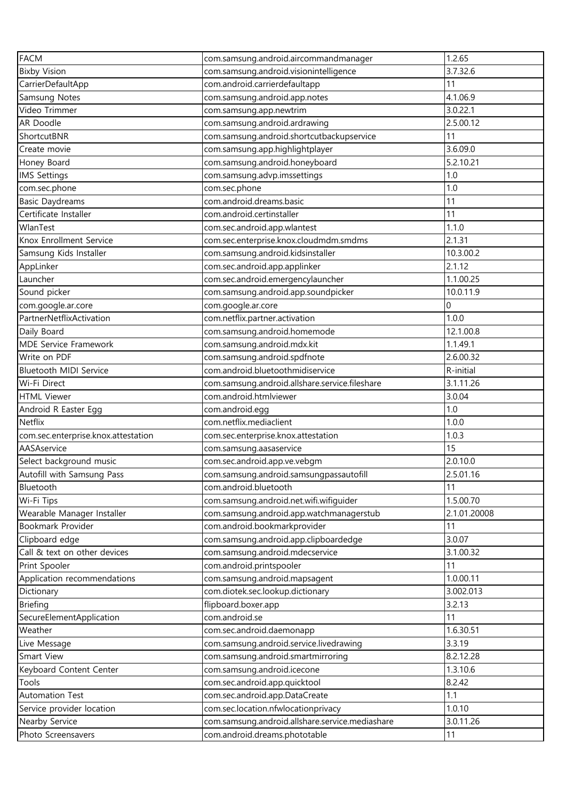| <b>FACM</b>                         | com.samsung.android.aircommandmanager           | 1.2.65       |
|-------------------------------------|-------------------------------------------------|--------------|
| <b>Bixby Vision</b>                 | com.samsung.android.visionintelligence          | 3.7.32.6     |
| CarrierDefaultApp                   | com.android.carrierdefaultapp                   | 11           |
| Samsung Notes                       | com.samsung.android.app.notes                   | 4.1.06.9     |
| Video Trimmer                       | com.samsung.app.newtrim                         | 3.0.22.1     |
| AR Doodle                           | —<br>com.samsung.android.ardrawing              | 2.5.00.12    |
| ShortcutBNR                         | com.samsung.android.shortcutbackupservice       | 11           |
| Create movie                        | com.samsung.app.highlightplayer                 | 3.6.09.0     |
| Honey Board                         | com.samsung.android.honeyboard                  | 5.2.10.21    |
| <b>IMS Settings</b>                 | com.samsung.advp.imssettings                    | 1.0          |
| com.sec.phone                       | com.sec.phone                                   | 1.0          |
| <b>Basic Daydreams</b>              | com.android.dreams.basic                        | 11           |
| Certificate Installer               | com.android.certinstaller                       | 11           |
| WlanTest                            | com.sec.android.app.wlantest                    | 1.1.0        |
| Knox Enrollment Service             | com.sec.enterprise.knox.cloudmdm.smdms          | 2.1.31       |
| Samsung Kids Installer              | com.samsung.android.kidsinstaller               | 10.3.00.2    |
| AppLinker                           | com.sec.android.app.applinker                   | 2.1.12       |
| Launcher                            | com.sec.android.emergencylauncher               | 1.1.00.25    |
| Sound picker                        | com.samsung.android.app.soundpicker             | 10.0.11.9    |
| com.google.ar.core                  | com.google.ar.core                              | 0            |
| PartnerNetflixActivation            | com.netflix.partner.activation                  | 1.0.0        |
| Daily Board                         | com.samsung.android.homemode                    | 12.1.00.8    |
| <b>MDE Service Framework</b>        | com.samsung.android.mdx.kit                     | 1.1.49.1     |
| Write on PDF                        | com.samsung.android.spdfnote                    | 2.6.00.32    |
| <b>Bluetooth MIDI Service</b>       | com.android.bluetoothmidiservice                | R-initial    |
| Wi-Fi Direct                        | com.samsung.android.allshare.service.fileshare  | 3.1.11.26    |
| <b>HTML Viewer</b>                  | com.android.htmlviewer                          | 3.0.04       |
| Android R Easter Egg                | com.android.egg                                 | $1.0\,$      |
| <b>Netflix</b>                      | com.netflix.mediaclient                         | 1.0.0        |
| com.sec.enterprise.knox.attestation | com.sec.enterprise.knox.attestation             | 1.0.3        |
| AASAservice                         | com.samsung.aasaservice                         | 15           |
| Select background music             | com.sec.android.app.ve.vebgm                    | 2.0.10.0     |
| Autofill with Samsung Pass          | com.samsung.android.samsungpassautofill         | 2.5.01.16    |
| Bluetooth                           | com.android.bluetooth                           | 11           |
| Wi-Fi Tips                          | com.samsung.android.net.wifi.wifiguider         | 1.5.00.70    |
| Wearable Manager Installer          | com.samsung.android.app.watchmanagerstub        | 2.1.01.20008 |
| Bookmark Provider                   | com.android.bookmarkprovider                    | 11           |
| Clipboard edge                      | com.samsung.android.app.clipboardedge           | 3.0.07       |
| Call & text on other devices        | com.samsung.android.mdecservice                 | 3.1.00.32    |
| Print Spooler                       | com.android.printspooler                        | 11           |
| Application recommendations         | com.samsung.android.mapsagent                   | 1.0.00.11    |
| Dictionary                          | com.diotek.sec.lookup.dictionary                | 3.002.013    |
| <b>Briefing</b>                     | flipboard.boxer.app                             | 3.2.13       |
| SecureElementApplication            | com.android.se                                  | 11           |
| Weather                             | com.sec.android.daemonapp                       | 1.6.30.51    |
| Live Message                        | com.samsung.android.service.livedrawing         | 3.3.19       |
| Smart View                          | com.samsung.android.smartmirroring              | 8.2.12.28    |
| Keyboard Content Center             | com.samsung.android.icecone                     | 1.3.10.6     |
| Tools                               | com.sec.android.app.quicktool                   | 8.2.42       |
| Automation Test                     | com.sec.android.app.DataCreate                  | 1.1          |
| Service provider location           | com.sec.location.nfwlocationprivacy             | 1.0.10       |
| Nearby Service                      | com.samsung.android.allshare.service.mediashare | 3.0.11.26    |
| Photo Screensavers                  | com.android.dreams.phototable                   | 11           |
|                                     |                                                 |              |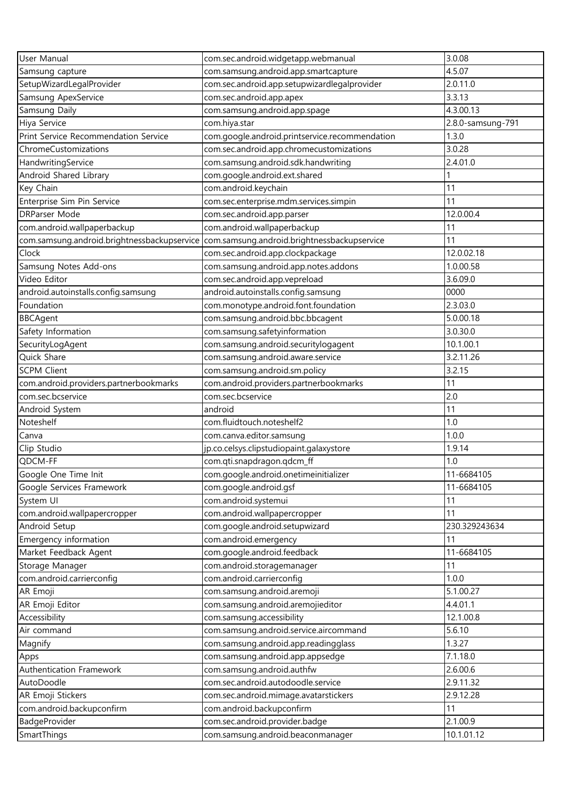| User Manual                                 | com.sec.android.widgetapp.webmanual            | 3.0.08            |
|---------------------------------------------|------------------------------------------------|-------------------|
| Samsung capture                             | com.samsung.android.app.smartcapture           | 4.5.07            |
| SetupWizardLegalProvider                    | com.sec.android.app.setupwizardlegalprovider   | 2.0.11.0          |
| Samsung ApexService                         | com.sec.android.app.apex                       | 3.3.13            |
| Samsung Daily                               | com.samsung.android.app.spage                  | 4.3.00.13         |
| Hiya Service                                | com.hiya.star                                  | 2.8.0-samsung-791 |
| Print Service Recommendation Service        | com.google.android.printservice.recommendation | 1.3.0             |
| ChromeCustomizations                        | com.sec.android.app.chromecustomizations       | 3.0.28            |
| HandwritingService                          | com.samsung.android.sdk.handwriting            | 2.4.01.0          |
| Android Shared Library                      | com.google.android.ext.shared                  |                   |
| Key Chain                                   | com.android.keychain                           | 11                |
| Enterprise Sim Pin Service                  | com.sec.enterprise.mdm.services.simpin         | 11                |
| <b>DRParser Mode</b>                        | com.sec.android.app.parser                     | 12.0.00.4         |
| com.android.wallpaperbackup                 | com.android.wallpaperbackup                    | 11                |
| com.samsung.android.brightnessbackupservice | com.samsung.android.brightnessbackupservice    | 11                |
| Clock                                       | com.sec.android.app.clockpackage               | 12.0.02.18        |
| Samsung Notes Add-ons                       | com.samsung.android.app.notes.addons           | 1.0.00.58         |
| Video Editor                                | com.sec.android.app.vepreload                  | 3.6.09.0          |
| android.autoinstalls.config.samsung         | android.autoinstalls.config.samsung            | 0000              |
| Foundation                                  | com.monotype.android.font.foundation           | 2.3.03.0          |
| <b>BBCAgent</b>                             | com.samsung.android.bbc.bbcagent               | 5.0.00.18         |
| Safety Information                          | com.samsung.safetyinformation                  | 3.0.30.0          |
| SecurityLogAgent                            | com.samsung.android.securitylogagent           | 10.1.00.1         |
| Quick Share                                 | com.samsung.android.aware.service              | 3.2.11.26         |
| <b>SCPM Client</b>                          | com.samsung.android.sm.policy                  | 3.2.15            |
| com.android.providers.partnerbookmarks      | com.android.providers.partnerbookmarks         | 11                |
| com.sec.bcservice                           | com.sec.bcservice                              | 2.0               |
| Android System                              | android                                        | 11                |
| Noteshelf                                   | com.fluidtouch.noteshelf2                      | 1.0               |
| Canva                                       | com.canva.editor.samsung                       | 1.0.0             |
| Clip Studio                                 | jp.co.celsys.clipstudiopaint.galaxystore       | 1.9.14            |
| QDCM-FF                                     | com.qti.snapdragon.qdcm_ff                     | 1.0               |
| Google One Time Init                        | com.google.android.onetimeinitializer          | 11-6684105        |
| Google Services Framework                   | com.google.android.gsf                         | 11-6684105        |
| System UI                                   | com.android.systemui                           | 11                |
| com.android.wallpapercropper                | com.android.wallpapercropper                   | 11                |
| Android Setup                               | com.google.android.setupwizard                 | 230.329243634     |
| Emergency information                       | com.android.emergency                          | 11                |
| Market Feedback Agent                       | com.google.android.feedback                    | 11-6684105        |
| Storage Manager                             | com.android.storagemanager                     | 11                |
| com.android.carrierconfig                   | com.android.carrierconfig                      | 1.0.0             |
| AR Emoji                                    | com.samsung.android.aremoji                    | 5.1.00.27         |
| AR Emoji Editor                             | com.samsung.android.aremojieditor              | 4.4.01.1          |
| Accessibility                               | com.samsung.accessibility                      | 12.1.00.8         |
| Air command                                 | com.samsung.android.service.aircommand         | 5.6.10            |
| Magnify                                     | com.samsung.android.app.readingglass           | 1.3.27            |
| Apps                                        | com.samsung.android.app.appsedge               | 7.1.18.0          |
| Authentication Framework                    | com.samsung.android.authfw                     | 2.6.00.6          |
| AutoDoodle                                  | com.sec.android.autodoodle.service             | 2.9.11.32         |
| AR Emoji Stickers                           | com.sec.android.mimage.avatarstickers          | 2.9.12.28         |
| com.android.backupconfirm                   | com.android.backupconfirm                      | 11                |
| BadgeProvider                               | com.sec.android.provider.badge                 | 2.1.00.9          |
| SmartThings                                 | com.samsung.android.beaconmanager              | 10.1.01.12        |
|                                             |                                                |                   |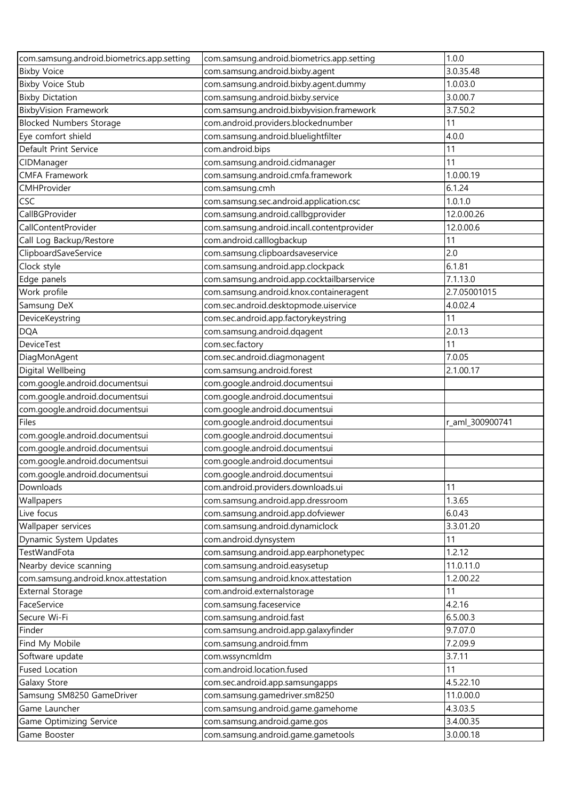| com.samsung.android.biometrics.app.setting | com.samsung.android.biometrics.app.setting | 1.0.0           |
|--------------------------------------------|--------------------------------------------|-----------------|
| <b>Bixby Voice</b>                         | com.samsung.android.bixby.agent            | 3.0.35.48       |
| <b>Bixby Voice Stub</b>                    | com.samsung.android.bixby.agent.dummy      | 1.0.03.0        |
| <b>Bixby Dictation</b>                     | com.samsung.android.bixby.service          | 3.0.00.7        |
| <b>BixbyVision Framework</b>               | com.samsung.android.bixbyvision.framework  | 3.7.50.2        |
| <b>Blocked Numbers Storage</b>             | com.android.providers.blockednumber        | 11              |
| Eye comfort shield                         | com.samsung.android.bluelightfilter        | 4.0.0           |
| Default Print Service                      | com.android.bips                           | 11              |
| CIDManager                                 | com.samsung.android.cidmanager             | 11              |
| <b>CMFA Framework</b>                      | com.samsung.android.cmfa.framework         | 1.0.00.19       |
| CMHProvider                                | com.samsung.cmh                            | 6.1.24          |
| <b>CSC</b>                                 | com.samsung.sec.android.application.csc    | 1.0.1.0         |
| CallBGProvider                             | com.samsung.android.callbgprovider         | 12.0.00.26      |
| CallContentProvider                        | com.samsung.android.incall.contentprovider | 12.0.00.6       |
| Call Log Backup/Restore                    | com.android.calllogbackup                  | 11              |
| ClipboardSaveService                       | com.samsung.clipboardsaveservice           | 2.0             |
| Clock style                                | com.samsung.android.app.clockpack          | 6.1.81          |
| Edge panels                                | com.samsung.android.app.cocktailbarservice | 7.1.13.0        |
| Work profile                               | com.samsung.android.knox.containeragent    | 2.7.05001015    |
| Samsung DeX                                | com.sec.android.desktopmode.uiservice      | 4.0.02.4        |
| DeviceKeystring                            | com.sec.android.app.factorykeystring       | 11              |
| <b>DQA</b>                                 | com.samsung.android.dqagent                | 2.0.13          |
| <b>DeviceTest</b>                          | com.sec.factory                            | 11              |
| DiagMonAgent                               | com.sec.android.diagmonagent               | 7.0.05          |
| Digital Wellbeing                          | com.samsung.android.forest                 | 2.1.00.17       |
| com.google.android.documentsui             | com.google.android.documentsui             |                 |
| com.google.android.documentsui             | com.google.android.documentsui             |                 |
| com.google.android.documentsui             | com.google.android.documentsui             |                 |
| Files                                      | com.google.android.documentsui             | r_aml_300900741 |
| com.google.android.documentsui             | com.google.android.documentsui             |                 |
| com.google.android.documentsui             | com.google.android.documentsui             |                 |
| com.google.android.documentsui             | com.google.android.documentsui             |                 |
| com.google.android.documentsui             | com.google.android.documentsui             |                 |
| Downloads                                  | com.android.providers.downloads.ui         | 11              |
| Wallpapers                                 | com.samsung.android.app.dressroom          | 1.3.65          |
| Live focus                                 | com.samsung.android.app.dofviewer          | 6.0.43          |
| Wallpaper services                         | com.samsung.android.dynamiclock            | 3.3.01.20       |
| Dynamic System Updates                     | com.android.dynsystem                      | 11              |
| TestWandFota                               | com.samsung.android.app.earphonetypec      | 1.2.12          |
| Nearby device scanning                     | com.samsung.android.easysetup              | 11.0.11.0       |
| com.samsung.android.knox.attestation       | com.samsung.android.knox.attestation       | 1.2.00.22       |
| <b>External Storage</b>                    | com.android.externalstorage                | 11              |
| FaceService                                | com.samsung.faceservice                    | 4.2.16          |
| Secure Wi-Fi                               | com.samsung.android.fast                   | 6.5.00.3        |
| Finder                                     | com.samsung.android.app.galaxyfinder       | 9.7.07.0        |
| Find My Mobile                             | com.samsung.android.fmm                    | 7.2.09.9        |
| Software update                            | com.wssyncmldm                             | 3.7.11          |
| <b>Fused Location</b>                      | com.android.location.fused                 | 11              |
| Galaxy Store                               | com.sec.android.app.samsungapps            | 4.5.22.10       |
| Samsung SM8250 GameDriver                  | com.samsung.gamedriver.sm8250              | 11.0.00.0       |
| Game Launcher                              | com.samsung.android.game.gamehome          | 4.3.03.5        |
| Game Optimizing Service                    | com.samsung.android.game.gos               | 3.4.00.35       |
| Game Booster                               | com.samsung.android.game.gametools         | 3.0.00.18       |
|                                            |                                            |                 |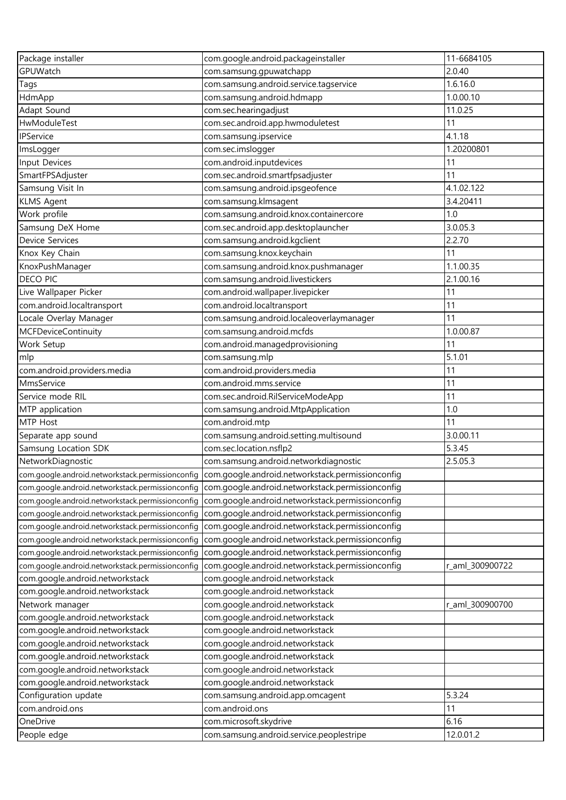| Package installer                                | com.google.android.packageinstaller                                                               | 11-6684105      |
|--------------------------------------------------|---------------------------------------------------------------------------------------------------|-----------------|
| GPUWatch                                         | com.samsung.gpuwatchapp                                                                           | 2.0.40          |
| Tags                                             | com.samsung.android.service.tagservice                                                            | 1.6.16.0        |
| HdmApp                                           | com.samsung.android.hdmapp                                                                        | 1.0.00.10       |
| Adapt Sound                                      | com.sec.hearingadjust                                                                             | 11.0.25         |
| HwModuleTest                                     | com.sec.android.app.hwmoduletest                                                                  | 11              |
| IPService                                        | com.samsung.ipservice                                                                             | 4.1.18          |
| ImsLogger                                        | com.sec.imslogger                                                                                 | 1.20200801      |
| Input Devices                                    | com.android.inputdevices                                                                          | 11              |
| SmartFPSAdjuster                                 | com.sec.android.smartfpsadjuster                                                                  | 11              |
| Samsung Visit In                                 | com.samsung.android.ipsgeofence                                                                   | 4.1.02.122      |
| <b>KLMS Agent</b>                                | com.samsung.klmsagent                                                                             | 3.4.20411       |
| Work profile                                     | com.samsung.android.knox.containercore                                                            | 1.0             |
| Samsung DeX Home                                 | com.sec.android.app.desktoplauncher                                                               | 3.0.05.3        |
| Device Services                                  | com.samsung.android.kgclient                                                                      | 2.2.70          |
| Knox Key Chain                                   | com.samsung.knox.keychain                                                                         | 11              |
| KnoxPushManager                                  | com.samsung.android.knox.pushmanager                                                              | 1.1.00.35       |
| <b>DECO PIC</b>                                  | com.samsung.android.livestickers                                                                  | 2.1.00.16       |
| Live Wallpaper Picker                            | com.android.wallpaper.livepicker                                                                  | 11              |
| com.android.localtransport                       | com.android.localtransport                                                                        | 11              |
| Locale Overlay Manager                           | com.samsung.android.localeoverlaymanager                                                          | 11              |
| <b>MCFDeviceContinuity</b>                       | com.samsung.android.mcfds                                                                         | 1.0.00.87       |
| Work Setup                                       | com.android.managedprovisioning                                                                   | 11              |
| mlp                                              | com.samsung.mlp                                                                                   | 5.1.01          |
| com.android.providers.media                      | com.android.providers.media                                                                       | 11              |
| MmsService                                       | com.android.mms.service                                                                           | 11              |
| Service mode RIL                                 | com.sec.android.RilServiceModeApp                                                                 | 11              |
| MTP application                                  | com.samsung.android.MtpApplication                                                                | 1.0             |
| MTP Host                                         | com.android.mtp                                                                                   | 11              |
| Separate app sound                               | com.samsung.android.setting.multisound                                                            | 3.0.00.11       |
| Samsung Location SDK                             | com.sec.location.nsflp2                                                                           | 5.3.45          |
| NetworkDiagnostic                                | com.samsung.android.networkdiagnostic                                                             | 2.5.05.3        |
|                                                  | com.google.android.networkstack.permissionconfig com.google.android.networkstack.permissionconfig |                 |
| com.google.android.networkstack.permissionconfig | com.google.android.networkstack.permissionconfig                                                  |                 |
| com.google.android.networkstack.permissionconfig | com.google.android.networkstack.permissionconfig                                                  |                 |
| com.google.android.networkstack.permissionconfig | com.google.android.networkstack.permissionconfig                                                  |                 |
| com.google.android.networkstack.permissionconfig | com.google.android.networkstack.permissionconfig                                                  |                 |
| com.google.android.networkstack.permissionconfiq | com.google.android.networkstack.permissionconfig                                                  |                 |
| com.google.android.networkstack.permissionconfiq | com.google.android.networkstack.permissionconfig                                                  |                 |
| com.google.android.networkstack.permissionconfig | com.google.android.networkstack.permissionconfig                                                  | r_aml_300900722 |
| com.google.android.networkstack                  | com.google.android.networkstack                                                                   |                 |
| com.google.android.networkstack                  | com.google.android.networkstack                                                                   |                 |
| Network manager                                  | com.google.android.networkstack                                                                   | r_aml_300900700 |
| com.google.android.networkstack                  | com.google.android.networkstack                                                                   |                 |
| com.google.android.networkstack                  | com.google.android.networkstack                                                                   |                 |
| com.google.android.networkstack                  | com.google.android.networkstack                                                                   |                 |
| com.google.android.networkstack                  | com.google.android.networkstack                                                                   |                 |
| com.google.android.networkstack                  | com.google.android.networkstack                                                                   |                 |
| com.google.android.networkstack                  | com.google.android.networkstack                                                                   |                 |
| Configuration update                             | com.samsung.android.app.omcagent                                                                  | 5.3.24          |
| com.android.ons                                  | com.android.ons                                                                                   | 11              |
| OneDrive                                         | com.microsoft.skydrive                                                                            | 6.16            |
| People edge                                      | com.samsung.android.service.peoplestripe                                                          | 12.0.01.2       |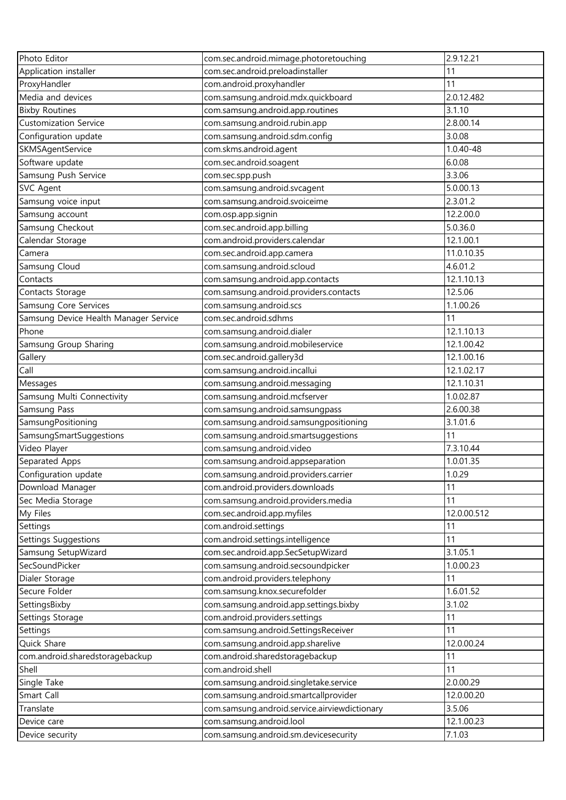| Photo Editor                          | com.sec.android.mimage.photoretouching        | 2.9.12.21   |
|---------------------------------------|-----------------------------------------------|-------------|
| Application installer                 | com.sec.android.preloadinstaller              | 11          |
| ProxyHandler                          | com.android.proxyhandler                      | 11          |
| Media and devices                     | com.samsung.android.mdx.quickboard            | 2.0.12.482  |
| <b>Bixby Routines</b>                 | com.samsung.android.app.routines              | 3.1.10      |
| <b>Customization Service</b>          | com.samsung.android.rubin.app                 | 2.8.00.14   |
| Configuration update                  | com.samsung.android.sdm.config                | 3.0.08      |
| SKMSAgentService                      | com.skms.android.agent                        | 1.0.40-48   |
| Software update                       | com.sec.android.soagent                       | 6.0.08      |
| Samsung Push Service                  | com.sec.spp.push                              | 3.3.06      |
| <b>SVC Agent</b>                      | com.samsung.android.svcagent                  | 5.0.00.13   |
| Samsung voice input                   | com.samsung.android.svoiceime                 | 2.3.01.2    |
| Samsung account                       | com.osp.app.signin                            | 12.2.00.0   |
| Samsung Checkout                      | com.sec.android.app.billing                   | 5.0.36.0    |
| Calendar Storage                      | com.android.providers.calendar                | 12.1.00.1   |
| Camera                                | com.sec.android.app.camera                    | 11.0.10.35  |
| Samsung Cloud                         | com.samsung.android.scloud                    | 4.6.01.2    |
| Contacts                              | com.samsung.android.app.contacts              | 12.1.10.13  |
| Contacts Storage                      | com.samsung.android.providers.contacts        | 12.5.06     |
| Samsung Core Services                 | com.samsung.android.scs                       | 1.1.00.26   |
| Samsung Device Health Manager Service | com.sec.android.sdhms                         | 11          |
| Phone                                 | com.samsung.android.dialer                    | 12.1.10.13  |
| Samsung Group Sharing                 | com.samsung.android.mobileservice             | 12.1.00.42  |
| Gallery                               | com.sec.android.gallery3d                     | 12.1.00.16  |
| Call                                  | com.samsung.android.incallui                  | 12.1.02.17  |
| Messages                              | com.samsung.android.messaging                 | 12.1.10.31  |
| Samsung Multi Connectivity            | com.samsung.android.mcfserver                 | 1.0.02.87   |
| Samsung Pass                          | com.samsung.android.samsungpass               | 2.6.00.38   |
| SamsungPositioning                    | com.samsung.android.samsungpositioning        | 3.1.01.6    |
| SamsungSmartSuggestions               | com.samsung.android.smartsuggestions          | 11          |
| Video Player                          | com.samsung.android.video                     | 7.3.10.44   |
| Separated Apps                        | com.samsung.android.appseparation             | 1.0.01.35   |
| Configuration update                  | com.samsung.android.providers.carrier         | 1.0.29      |
| Download Manager                      | com.android.providers.downloads               | 11          |
| Sec Media Storage                     | com.samsung.android.providers.media           | 11          |
| My Files                              | com.sec.android.app.myfiles                   | 12.0.00.512 |
| Settings                              | com.android.settings                          | 11          |
| Settings Suggestions                  | com.android.settings.intelligence             | 11          |
| Samsung SetupWizard                   | com.sec.android.app.SecSetupWizard            | 3.1.05.1    |
| SecSoundPicker                        | com.samsung.android.secsoundpicker            | 1.0.00.23   |
| Dialer Storage                        | com.android.providers.telephony               | 11          |
| Secure Folder                         | com.samsung.knox.securefolder                 | 1.6.01.52   |
| SettingsBixby                         | com.samsung.android.app.settings.bixby        | 3.1.02      |
| Settings Storage                      | com.android.providers.settings                | 11          |
| Settings                              | com.samsung.android.SettingsReceiver          | 11          |
| Quick Share                           | com.samsung.android.app.sharelive             | 12.0.00.24  |
| com.android.sharedstoragebackup       | com.android.sharedstoragebackup               | 11          |
| Shell                                 | com.android.shell                             | 11          |
| Single Take                           | com.samsung.android.singletake.service        | 2.0.00.29   |
| Smart Call                            | com.samsung.android.smartcallprovider         | 12.0.00.20  |
| Translate                             | com.samsung.android.service.airviewdictionary | 3.5.06      |
| Device care                           | com.samsung.android.lool                      | 12.1.00.23  |
| Device security                       | com.samsung.android.sm.devicesecurity         | 7.1.03      |
|                                       |                                               |             |